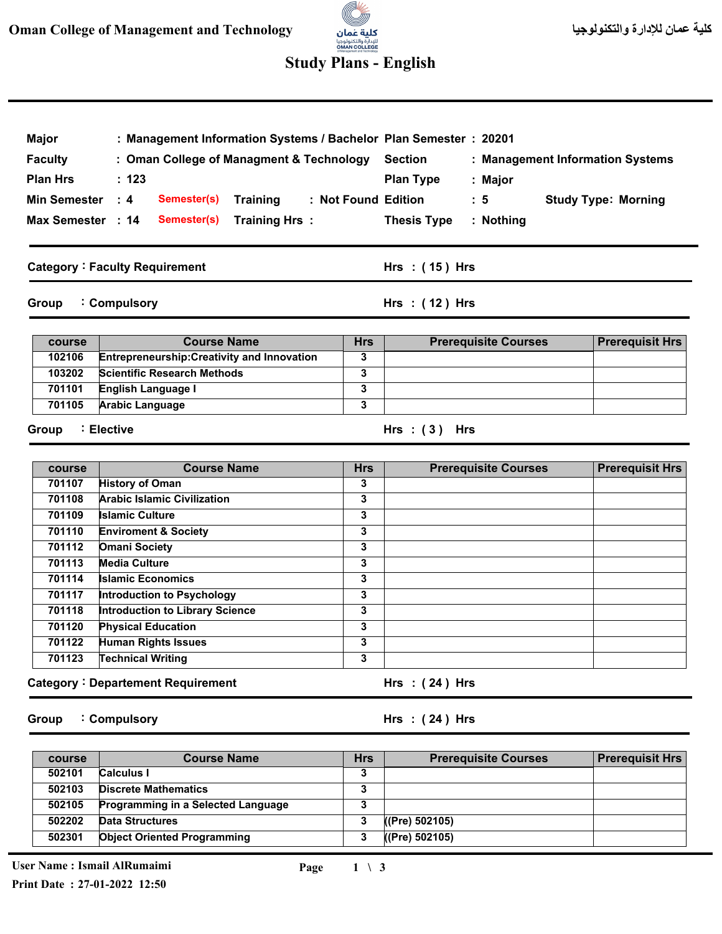## للإدارة والتكنولوجيا<br>**OMAN COLLEGE**<br>st Management and Technoloxy **Study Plans - English**

3

| Major                                             | : Management Information Systems / Bachelor Plan Semester : 20201 |                         |                                                    |                            |  |
|---------------------------------------------------|-------------------------------------------------------------------|-------------------------|----------------------------------------------------|----------------------------|--|
| <b>Faculty</b>                                    | : Oman College of Managment & Technology<br>: 123                 |                         | <b>Section</b><br>: Management Information Systems |                            |  |
| <b>Plan Hrs</b>                                   |                                                                   |                         | <b>Plan Type</b><br>: Major                        |                            |  |
|                                                   |                                                                   |                         |                                                    |                            |  |
| <b>Min Semester</b>                               | Semester(s)<br>$\therefore$ 4<br><b>Training</b>                  |                         | : Not Found Edition<br>$\cdot$ 5                   | <b>Study Type: Morning</b> |  |
| Max Semester : 14<br>Semester(s)<br>Training Hrs: |                                                                   |                         | <b>Thesis Type</b><br>: Nothing                    |                            |  |
|                                                   | <b>Category: Faculty Requirement</b>                              |                         | Hrs : (15) Hrs                                     |                            |  |
| Group                                             | : Compulsory                                                      |                         | Hrs $:(12)$ Hrs                                    |                            |  |
| course                                            | <b>Course Name</b>                                                | <b>Hrs</b>              | <b>Prerequisite Courses</b>                        | <b>Prerequisit Hrs</b>     |  |
| 102106                                            | <b>Entrepreneurship: Creativity and Innovation</b>                | 3                       |                                                    |                            |  |
| 103202                                            | <b>Scientific Research Methods</b>                                | 3                       |                                                    |                            |  |
| 701101                                            | English Language I                                                | 3                       |                                                    |                            |  |
| 701105                                            | <b>Arabic Language</b>                                            | 3                       |                                                    |                            |  |
| Group                                             | : Elective                                                        |                         | Hrs: $(3)$ Hrs                                     |                            |  |
| course                                            | <b>Course Name</b>                                                | <b>Hrs</b>              | <b>Prerequisite Courses</b>                        | <b>Prerequisit Hrs</b>     |  |
| 701107                                            | <b>History of Oman</b>                                            | 3                       |                                                    |                            |  |
| 701108                                            | <b>Arabic Islamic Civilization</b>                                | 3                       |                                                    |                            |  |
| 701109                                            | <b>Islamic Culture</b>                                            | 3                       |                                                    |                            |  |
| 701110                                            | <b>Enviroment &amp; Society</b>                                   | 3                       |                                                    |                            |  |
| 701112                                            | <b>Omani Society</b>                                              | 3                       |                                                    |                            |  |
| 701113                                            | <b>Media Culture</b>                                              | 3                       |                                                    |                            |  |
| 701114                                            | <b>Islamic Economics</b>                                          | 3                       |                                                    |                            |  |
| 701117                                            | Introduction to Psychology                                        | 3                       |                                                    |                            |  |
| 701118<br>701120                                  | <b>Introduction to Library Science</b>                            | 3                       |                                                    |                            |  |
| 701122                                            | <b>Physical Education</b><br><b>Human Rights Issues</b>           | 3<br>3                  |                                                    |                            |  |
| 701123                                            | <b>Technical Writing</b>                                          | $\overline{\mathbf{3}}$ |                                                    |                            |  |
|                                                   | <b>Category: Departement Requirement</b>                          |                         | Hrs $:(24)$ Hrs                                    |                            |  |
| Group                                             | : Compulsory                                                      |                         | Hrs: $(24)$ Hrs                                    |                            |  |
| course                                            | <b>Course Name</b>                                                | <b>Hrs</b>              | <b>Prerequisite Courses</b>                        | <b>Prerequisit Hrs</b>     |  |
| 502101                                            | <b>Calculus I</b>                                                 | 3                       |                                                    |                            |  |
| 502103                                            | <b>Discrete Mathematics</b>                                       | 3                       |                                                    |                            |  |
| 502105                                            | Programming in a Selected Language                                | 3                       |                                                    |                            |  |

**Data Structures** 

**Object Oriented Programming** 

**27-01-2022 12:50 Print Date :**

**502202 502301**

**3 3** **((Pre) 502105) ((Pre) 502105)**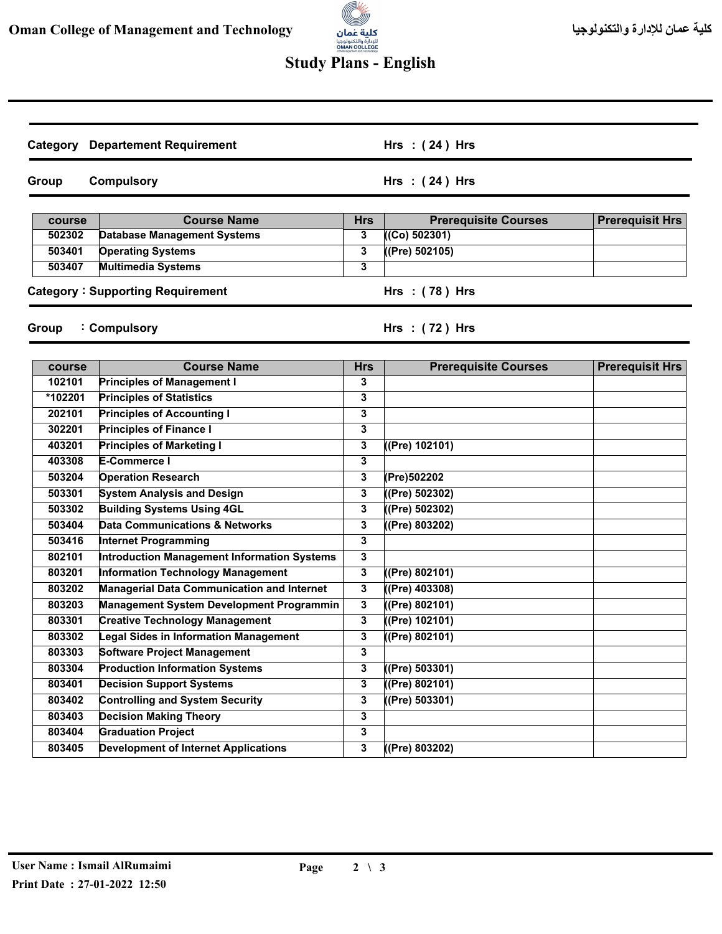

## **Study Plans - English**

| Category         | <b>Departement Requirement</b>                    |                 | Hrs: $(24)$ Hrs                              |                        |
|------------------|---------------------------------------------------|-----------------|----------------------------------------------|------------------------|
| Group            | <b>Compulsory</b>                                 |                 | Hrs: $(24)$ Hrs                              |                        |
|                  | <b>Course Name</b>                                |                 |                                              |                        |
| course<br>502302 | <b>Database Management Systems</b>                | <b>Hrs</b><br>3 | <b>Prerequisite Courses</b><br>((Co) 502301) | <b>Prerequisit Hrs</b> |
| 503401           | <b>Operating Systems</b>                          | 3               | ( (Pre) 502105)                              |                        |
| 503407           | <b>Multimedia Systems</b>                         | 3               |                                              |                        |
|                  |                                                   |                 |                                              |                        |
|                  | <b>Category: Supporting Requirement</b>           |                 | Hrs: (78) Hrs                                |                        |
| Group            | : Compulsory                                      |                 | Hrs: $(72)$ Hrs                              |                        |
|                  | <b>Course Name</b>                                |                 |                                              |                        |
| course<br>102101 | <b>Principles of Management I</b>                 | <b>Hrs</b><br>3 | <b>Prerequisite Courses</b>                  | <b>Prerequisit Hrs</b> |
| *102201          | <b>Principles of Statistics</b>                   | 3               |                                              |                        |
| 202101           | <b>Principles of Accounting I</b>                 | 3               |                                              |                        |
| 302201           | <b>Principles of Finance I</b>                    | 3               |                                              |                        |
| 403201           | <b>Principles of Marketing I</b>                  | 3               | ((Pre) 102101)                               |                        |
| 403308           | E-Commerce I                                      | 3               |                                              |                        |
| 503204           | <b>Operation Research</b>                         | 3               | (Pre)502202                                  |                        |
| 503301           | <b>System Analysis and Design</b>                 | 3               | ((Pre) 502302)                               |                        |
| 503302           | <b>Building Systems Using 4GL</b>                 | 3               | ((Pre) 502302)                               |                        |
| 503404           | <b>Data Communications &amp; Networks</b>         | 3               | ((Pre) 803202)                               |                        |
| 503416           | <b>Internet Programming</b>                       | 3               |                                              |                        |
| 802101           | Introduction Management Information Systems       | 3               |                                              |                        |
| 803201           | Information Technology Management                 | 3               | ((Pre) 802101)                               |                        |
| 803202           | <b>Managerial Data Communication and Internet</b> | 3               | ((Pre) 403308)                               |                        |
| 803203           | <b>Management System Development Programmin</b>   | 3               | $($ (Pre) 802101)                            |                        |
| 803301           | <b>Creative Technology Management</b>             | 3               | ((Pre) 102101)                               |                        |
| 803302           | egal Sides in Information Management              | 3               | $($ (Pre) 802101)                            |                        |
| 803303           | <b>Software Project Management</b>                | 3               |                                              |                        |
| 803304           | <b>Production Information Systems</b>             | 3               | ((Pre) 503301)                               |                        |
| 803401           | <b>Decision Support Systems</b>                   | 3               | $($ (Pre) 802101)                            |                        |
| 803402           | <b>Controlling and System Security</b>            | $\mathbf{3}$    | ((Pre) 503301)                               |                        |
| 803403           | <b>Decision Making Theory</b>                     | 3               |                                              |                        |
| 803404           | <b>Graduation Project</b>                         | 3               |                                              |                        |
| 803405           | <b>Development of Internet Applications</b>       | $\mathbf{3}$    | ((Pre) 803202)                               |                        |